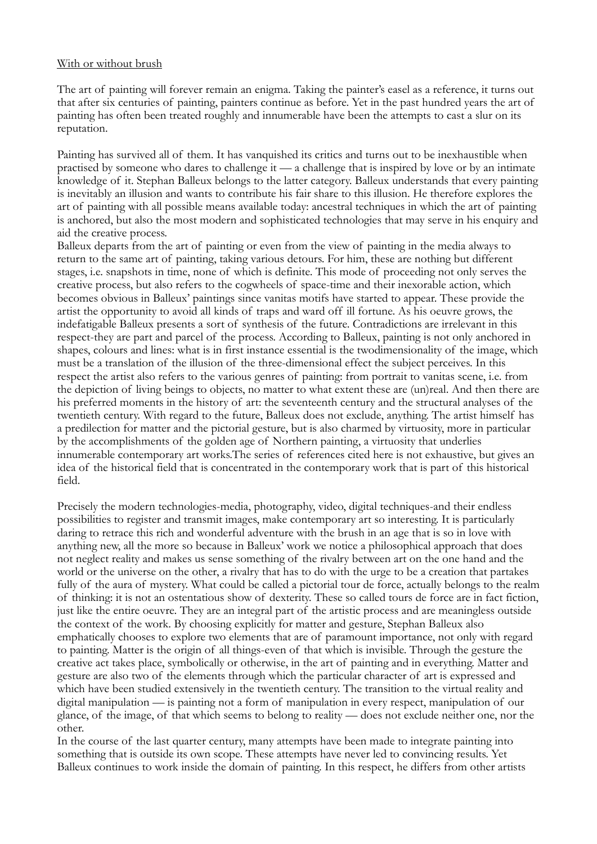## With or without brush

The art of painting will forever remain an enigma. Taking the painter's easel as a reference, it turns out that after six centuries of painting, painters continue as before. Yet in the past hundred years the art of painting has often been treated roughly and innumerable have been the attempts to cast a slur on its reputation.

Painting has survived all of them. It has vanquished its critics and turns out to be inexhaustible when practised by someone who dares to challenge it — a challenge that is inspired by love or by an intimate knowledge of it. Stephan Balleux belongs to the latter category. Balleux understands that every painting is inevitably an illusion and wants to contribute his fair share to this illusion. He therefore explores the art of painting with all possible means available today: ancestral techniques in which the art of painting is anchored, but also the most modern and sophisticated technologies that may serve in his enquiry and aid the creative process.

Balleux departs from the art of painting or even from the view of painting in the media always to return to the same art of painting, taking various detours. For him, these are nothing but different stages, i.e. snapshots in time, none of which is definite. This mode of proceeding not only serves the creative process, but also refers to the cogwheels of space-time and their inexorable action, which becomes obvious in Balleux' paintings since vanitas motifs have started to appear. These provide the artist the opportunity to avoid all kinds of traps and ward off ill fortune. As his oeuvre grows, the indefatigable Balleux presents a sort of synthesis of the future. Contradictions are irrelevant in this respect-they are part and parcel of the process. According to Balleux, painting is not only anchored in shapes, colours and lines: what is in first instance essential is the twodimensionality of the image, which must be a translation of the illusion of the three-dimensional effect the subject perceives. In this respect the artist also refers to the various genres of painting: from portrait to vanitas scene, i.e. from the depiction of living beings to objects, no matter to what extent these are (un)real. And then there are his preferred moments in the history of art: the seventeenth century and the structural analyses of the twentieth century. With regard to the future, Balleux does not exclude, anything. The artist himself has a predilection for matter and the pictorial gesture, but is also charmed by virtuosity, more in particular by the accomplishments of the golden age of Northern painting, a virtuosity that underlies innumerable contemporary art works.The series of references cited here is not exhaustive, but gives an idea of the historical field that is concentrated in the contemporary work that is part of this historical field.

Precisely the modern technologies-media, photography, video, digital techniques-and their endless possibilities to register and transmit images, make contemporary art so interesting. It is particularly daring to retrace this rich and wonderful adventure with the brush in an age that is so in love with anything new, all the more so because in Balleux' work we notice a philosophical approach that does not neglect reality and makes us sense something of the rivalry between art on the one hand and the world or the universe on the other, a rivalry that has to do with the urge to be a creation that partakes fully of the aura of mystery. What could be called a pictorial tour de force, actually belongs to the realm of thinking: it is not an ostentatious show of dexterity. These so called tours de force are in fact fiction, just like the entire oeuvre. They are an integral part of the artistic process and are meaningless outside the context of the work. By choosing explicitly for matter and gesture, Stephan Balleux also emphatically chooses to explore two elements that are of paramount importance, not only with regard to painting. Matter is the origin of all things-even of that which is invisible. Through the gesture the creative act takes place, symbolically or otherwise, in the art of painting and in everything. Matter and gesture are also two of the elements through which the particular character of art is expressed and which have been studied extensively in the twentieth century. The transition to the virtual reality and digital manipulation — is painting not a form of manipulation in every respect, manipulation of our glance, of the image, of that which seems to belong to reality — does not exclude neither one, nor the other.

In the course of the last quarter century, many attempts have been made to integrate painting into something that is outside its own scope. These attempts have never led to convincing results. Yet Balleux continues to work inside the domain of painting. In this respect, he differs from other artists